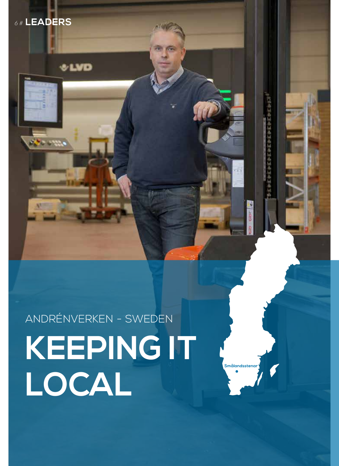

**Smålandsstenar**

ANDRÉNVERKEN - SWEDEN

*6 #* **LEADERS**

**County** 

**SLVD**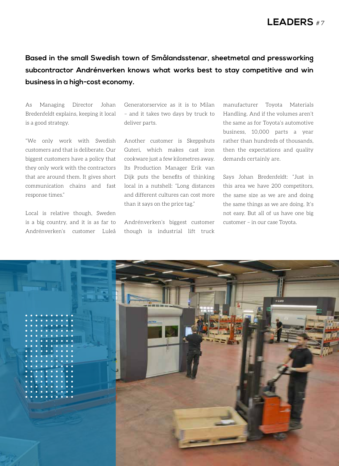## *# 7* **LEADERS**

## **Based in the small Swedish town of Smålandsstenar, sheetmetal and pressworking subcontractor Andrénverken knows what works best to stay competitive and win business in a high-cost economy.**

As Managing Director Johan Bredenfeldt explains, keeping it local is a good strategy.

"We only work with Swedish customers and that is deliberate. Our biggest customers have a policy that they only work with the contractors that are around them. It gives short communication chains and fast response times."

Local is relative though, Sweden is a big country, and it is as far to Andrénverken's customer Luleå Generatorservice as it is to Milan – and it takes two days by truck to deliver parts.

Another customer is Skeppshuts Guteri, which makes cast iron cookware just a few kilometres away. Its Production Manager Erik van Dijk puts the benefits of thinking local in a nutshell: "Long distances and different cultures can cost more than it says on the price tag."

Andrénverken's biggest customer though is industrial lift truck manufacturer Toyota Materials Handling. And if the volumes aren't the same as for Toyota's automotive business, 10,000 parts a year rather than hundreds of thousands, then the expectations and quality demands certainly are.

Says Johan Bredenfeldt: "Just in this area we have 200 competitors, the same size as we are and doing the same things as we are doing. It's not easy. But all of us have one big customer – in our case Toyota.

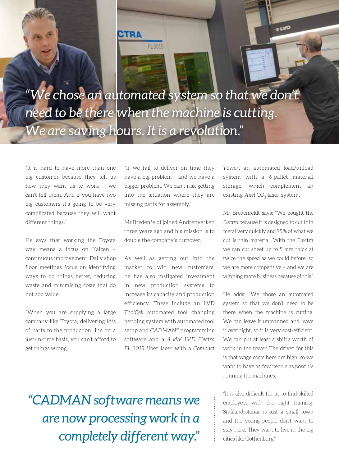

*"We chose an automated system so that we don't need to be there when the machine is cutting. We are saving hours. It is a revolution."*

"It is hard to have more than one big customer because they tell us how they want us to work – we can't tell them. And if you have two big customers it's going to be very complicated because they will want different things."

*8 #* **LEADERS**

He says that working the Toyota way means a focus on Kaizen – continuous improvement. Daily shop floor meetings focus on identifying ways to do things better, reducing waste and minimising costs that do not add value.

"When you are supplying a large company like Toyota, delivering kits of parts to the production line on a just-in-time basis, you can't afford to get things wrong.

"If we fail to deliver on time they have a big problem – and we have a bigger problem. We can't risk getting into the situation where they are missing parts for assembly."

Mr Bredenfeldt joined Andrénverken three years ago and his mission is to double the company's turnover.

As well as getting out into the market to win new customers, he has also instigated investment in new production systems to increase its capacity and production efficiency. These include an LVD *ToolCell* automated tool changing bending system with automated tool setup and *CADMAN*® programming software and a *4 kW LVD Electra FL 3015* fiber laser with a *Compact*  *Tower*, an automated load/unload system with a 6-pallet material storage, which complement an existing Axel CO<sub>2</sub> laser system.

**UND** 

Mr Bredenfeldt says: "We bought the *Electra* because it is designed to cut thin metal very quickly and 95% of what we cut is thin material. With the Electra we can cut sheet up to 5 mm thick at twice the speed as we could before, so we are more competitive – and we are winning more business because of this."

He adds: "We chose an automated system so that we don't need to be there when the machine is cutting. We can leave it unmanned and leave it overnight, so it is very cost-efficient. We can put at least a shift's worth of work in the tower. The driver for this is that wage costs here are high, so we want to have as few people as possible running the machines.

"It is also difficult for us to find skilled employees with the right training. Smålandsstenar is just a small town and the young people don't want to stay here. They want to live in the big cities like Gothenburg."

*"CADMAN software means we are now processing work in a completely different way."*